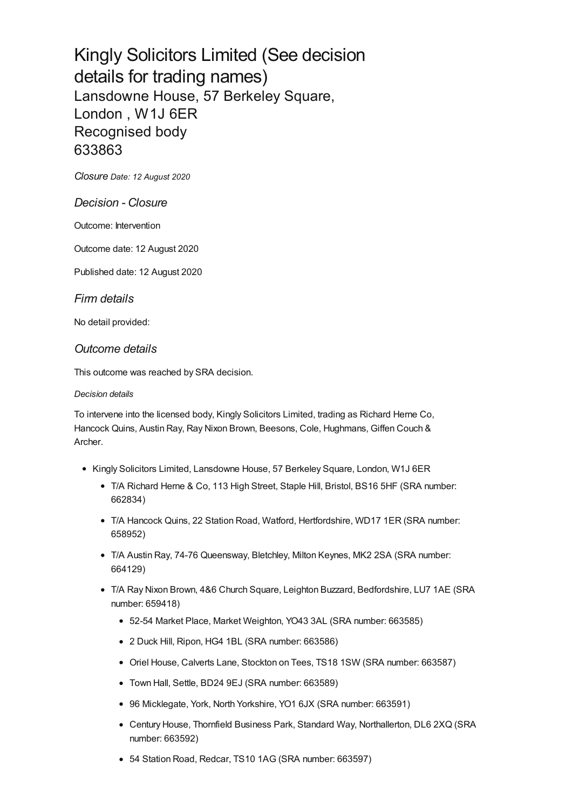# Kingly Solicitors Limited (See decision details for trading names) Lansdowne House, 57 Berkeley Square, London , W1J 6ER Recognised body 633863

*[Closure](#page-1-0) Date: 12 August 2020*

## *Decision - Closure*

Outcome: Intervention

Outcome date: 12 August 2020

Published date: 12 August 2020

## *Firm details*

No detail provided:

## *Outcome details*

This outcome was reached by SRA decision.

### *Decision details*

To intervene into the licensed body, Kingly Solicitors Limited, trading as Richard Herne Co, Hancock Quins, Austin Ray, Ray Nixon Brown, Beesons, Cole, Hughmans, Giffen Couch & Archer.

- Kingly Solicitors Limited, Lansdowne House, 57 Berkeley Square, London, W1J 6ER
	- T/A Richard Herne & Co, 113 High Street, Staple Hill, Bristol, BS16 5HF (SRA number: 662834)
	- T/A Hancock Quins, 22 Station Road, Watford, Hertfordshire, WD17 1ER (SRA number: 658952)
	- T/A Austin Ray, 74-76 Queensway, Bletchley, Milton Keynes, MK2 2SA (SRA number: 664129)
	- T/A Ray Nixon Brown, 4&6 Church Square, Leighton Buzzard, Bedfordshire, LU7 1AE (SRA number: 659418)
		- 52-54 Market Place, Market Weighton, YO43 3AL (SRA number: 663585)
		- 2 Duck Hill, Ripon, HG4 1BL (SRA number: 663586)
		- Oriel House, Calverts Lane, Stockton on Tees, TS18 1SW (SRA number: 663587)
		- Town Hall, Settle, BD24 9EJ (SRA number: 663589)
		- 96 Micklegate, York, North Yorkshire, YO1 6JX (SRA number: 663591)
		- Century House, Thornfield Business Park, Standard Way, Northallerton, DL6 2XQ (SRA number: 663592)
		- 54 Station Road, Redcar, TS10 1AG (SRA number: 663597)